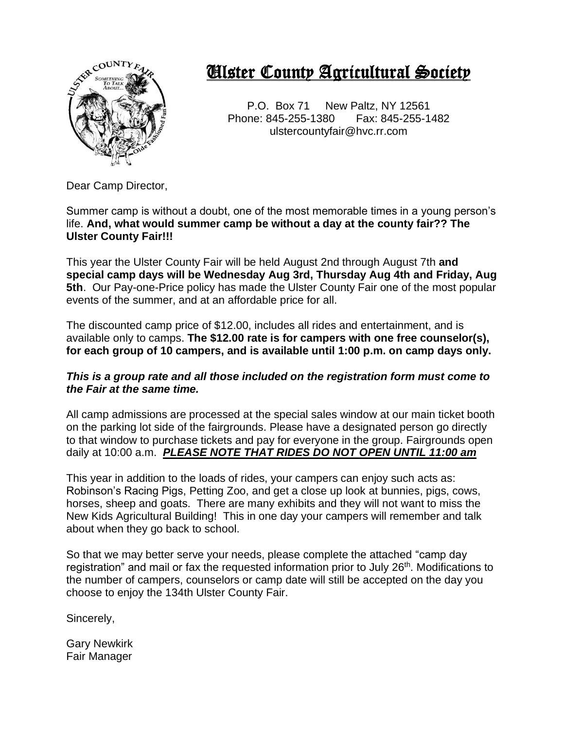

# Ulster County Agricultural Society

P.O. Box 71 New Paltz, NY 12561 Phone: 845-255-1380 Fax: 845-255-1482 ulstercountyfair@hvc.rr.com

Dear Camp Director,

Summer camp is without a doubt, one of the most memorable times in a young person's life. **And, what would summer camp be without a day at the county fair?? The Ulster County Fair!!!**

This year the Ulster County Fair will be held August 2nd through August 7th **and special camp days will be Wednesday Aug 3rd, Thursday Aug 4th and Friday, Aug 5th.** Our Pay-one-Price policy has made the Ulster County Fair one of the most popular events of the summer, and at an affordable price for all.

The discounted camp price of \$12.00, includes all rides and entertainment, and is available only to camps. **The \$12.00 rate is for campers with one free counselor(s), for each group of 10 campers, and is available until 1:00 p.m. on camp days only.**

#### *This is a group rate and all those included on the registration form must come to the Fair at the same time.*

All camp admissions are processed at the special sales window at our main ticket booth on the parking lot side of the fairgrounds. Please have a designated person go directly to that window to purchase tickets and pay for everyone in the group. Fairgrounds open daily at 10:00 a.m. *PLEASE NOTE THAT RIDES DO NOT OPEN UNTIL 11:00 am*

This year in addition to the loads of rides, your campers can enjoy such acts as: Robinson's Racing Pigs, Petting Zoo, and get a close up look at bunnies, pigs, cows, horses, sheep and goats. There are many exhibits and they will not want to miss the New Kids Agricultural Building! This in one day your campers will remember and talk about when they go back to school.

So that we may better serve your needs, please complete the attached "camp day registration" and mail or fax the requested information prior to July 26<sup>th</sup>. Modifications to the number of campers, counselors or camp date will still be accepted on the day you choose to enjoy the 134th Ulster County Fair.

Sincerely,

Gary Newkirk Fair Manager